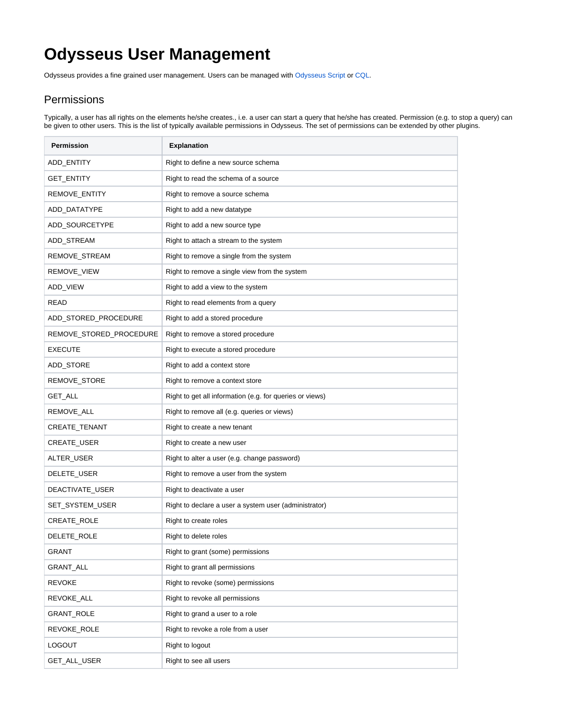## **Odysseus User Management**

Odysseus provides a fine grained user management. Users can be managed with [Odysseus Script](https://wiki.odysseus.informatik.uni-oldenburg.de/display/ODYSSEUS/Odysseus+Script) or [CQL.](https://wiki.odysseus.informatik.uni-oldenburg.de/pages/viewpage.action?pageId=2589001)

## **Permissions**

Typically, a user has all rights on the elements he/she creates., i.e. a user can start a query that he/she has created. Permission (e.g. to stop a query) can be given to other users. This is the list of typically available permissions in Odysseus. The set of permissions can be extended by other plugins.

| Permission              | <b>Explanation</b>                                       |
|-------------------------|----------------------------------------------------------|
| ADD ENTITY              | Right to define a new source schema                      |
| GET_ENTITY              | Right to read the schema of a source                     |
| REMOVE_ENTITY           | Right to remove a source schema                          |
| ADD_DATATYPE            | Right to add a new datatype                              |
| ADD_SOURCETYPE          | Right to add a new source type                           |
| ADD_STREAM              | Right to attach a stream to the system                   |
| REMOVE_STREAM           | Right to remove a single from the system                 |
| REMOVE_VIEW             | Right to remove a single view from the system            |
| ADD_VIEW                | Right to add a view to the system                        |
| READ                    | Right to read elements from a query                      |
| ADD_STORED_PROCEDURE    | Right to add a stored procedure                          |
| REMOVE_STORED_PROCEDURE | Right to remove a stored procedure                       |
| <b>EXECUTE</b>          | Right to execute a stored procedure                      |
| ADD_STORE               | Right to add a context store                             |
| REMOVE_STORE            | Right to remove a context store                          |
| GET_ALL                 | Right to get all information (e.g. for queries or views) |
| REMOVE_ALL              | Right to remove all (e.g. queries or views)              |
| CREATE_TENANT           | Right to create a new tenant                             |
| CREATE_USER             | Right to create a new user                               |
| ALTER_USER              | Right to alter a user (e.g. change password)             |
| DELETE_USER             | Right to remove a user from the system                   |
| DEACTIVATE_USER         | Right to deactivate a user                               |
| SET_SYSTEM_USER         | Right to declare a user a system user (administrator)    |
| CREATE_ROLE             | Right to create roles                                    |
| DELETE_ROLE             | Right to delete roles                                    |
| <b>GRANT</b>            | Right to grant (some) permissions                        |
| GRANT_ALL               | Right to grant all permissions                           |
| <b>REVOKE</b>           | Right to revoke (some) permissions                       |
| REVOKE_ALL              | Right to revoke all permissions                          |
| GRANT_ROLE              | Right to grand a user to a role                          |
| REVOKE_ROLE             | Right to revoke a role from a user                       |
| <b>LOGOUT</b>           | Right to logout                                          |
| GET_ALL_USER            | Right to see all users                                   |